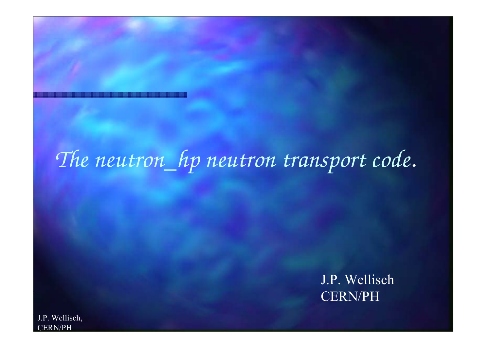#### *The neutron \_ hp neutron transport code.*

J.P. Wellisch **CERN/PH**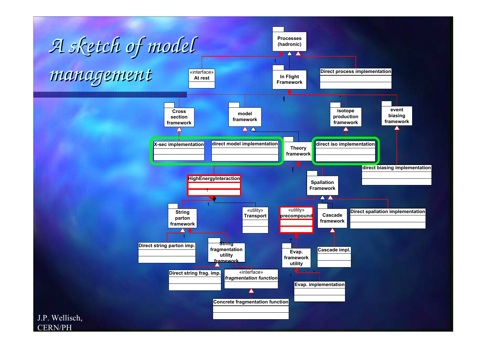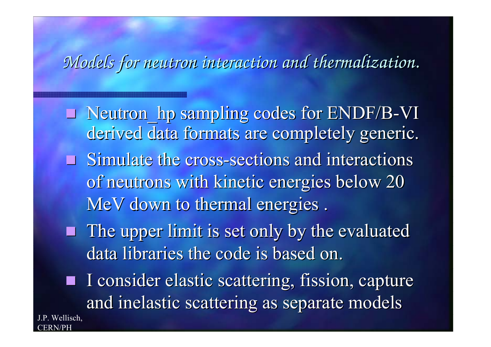#### Models for neutron interaction and thermalization.

- **Neutron** hp sampling codes for ENDF/B-VI derived data formats are completely generic.
- $\Box$  Simulate the cross-sections and interactions of neutrons with kinetic energies below 20 MeV down to thermal energies.
- The upper limit is set only by the evaluated data libraries the code is based on.
- I consider elastic scattering, fission, capture and inelastic scattering as separate models

Wellisch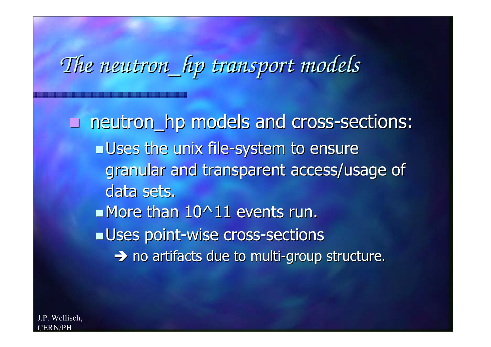#### *The neutron \_ hp transport models*

**u** neutron\_hp models and cross-sections:  $\blacksquare$  Uses the unix file-system to ensure granular and transparent access/usage of data sets.  $\square$  More than  $10^{\wedge}11$  events run.  $\blacksquare$  Uses point-wise cross-sections  $\rightarrow$  no artifacts due to multi-group structure.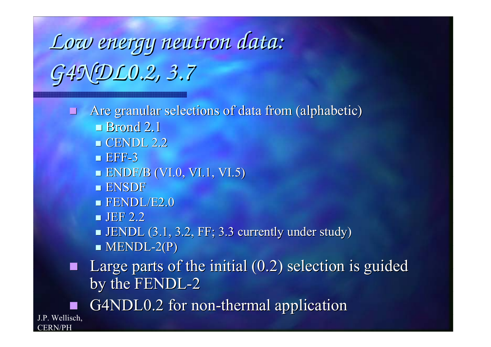Low energy neutron data: G49\DL0.2, 3.7

Are granular selections of data from (alphabetic)  $\Box$  $\blacksquare$  Brond 2.1  $\blacksquare$  CENDL 2.2  $EFF-3$  $\blacksquare$  ENDF/B (VI.0, VI.1, VI.5) **ENSDF**  $\blacksquare$  FENDL/E2.0  $JEF$  2.2 **IFNDL** (3.1, 3.2, FF; 3.3 currently under study)  $\blacksquare$  MENDL-2(P)

■ Large parts of the initial  $(0.2)$  selection is guided by the FENDL-2

G4NDL0.2 for non-thermal application

J.P. Wellisch,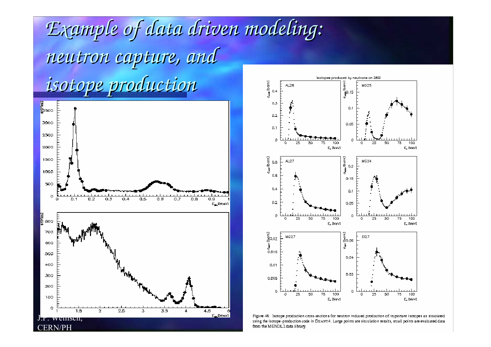*Example of data driven modeling: neutron capture, and isotope production*isotopes produced by neutrons on 28Si [bam]  $A\angle 28$ MG25 ន្ទ<br>ធ្នូ<br>ច  $0.4$ Į enteez<br>Essoo  $0.3$  $0.1$  $0.2$ 3000  $0.05$  $0,1$ 2500  $\mathfrak{O}$  $\alpha$  $\overline{25}$ 50 75 50 75 100 o 25 100  $\circ$ 2000 E, INeVI E, IMeVI  $\sigma_{\rm star}$  [barn]  $\sigma_{\rm heat}$  (born)<br> $\sim$ 1500  $A L 27$ MG24 0.8 1600  $0.5$  $0.15$ 500  $0.4$  $0.1$  $\mathbf 0$  $0.3$  $\overline{O}$  $0.1$  $0.2$  $0.4$  $q_{\text{-S}}$  $0.5$  $0.7$  $0.B$  $0.9$  $0,2$  $E_{\rm{th}}$ DMeVI  $0.05$ entesz<br>strász<br>soo  $\sigma$  $\Omega$  $\circ$ 25 50 75 100  $\circ$ 25 50 75 100 E, INeVI E. IMeVI 700 ]<br>폴0,02 MG27 **SI27**  $\bar{2}_{0.06}$ 600 ្ត្រី ទី<br>- 0.015 500  $0.04$ 400  $0.01$ a<br>"Waliozaliwa  $0.02$ 300 0.005 200  $\Omega$  $\Omega$ 50 100  $\circ$ 25 75  $\circ$ 25 50 75 100 100 E, IMeV) E. IMeVI o 1.5  $\boldsymbol{2}$ 2.5 3.  $3.5$  $\ddot{\phantom{1}}$ 4.5 E. Dievi Figure 48: Isotope production cross-sections for neutron induced production of important isotopes as simulated J.r. weniscn, using the isotope-production code in GEANT4. Large points are simulation results, small points are evaluated data **ERN/PH** from the MENDL2 data library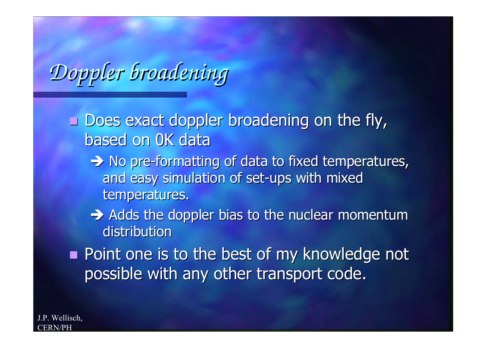Doppler broadening

#### Does exact doppler broadening on the fly, based on OK data

- > No pre-formatting of data to fixed temperatures, and easy simulation of set-ups with mixed temperatures.
- $\rightarrow$  Adds the doppler bias to the nuclear momentum distribution
- Point one is to the best of my knowledge not possible with any other transport code.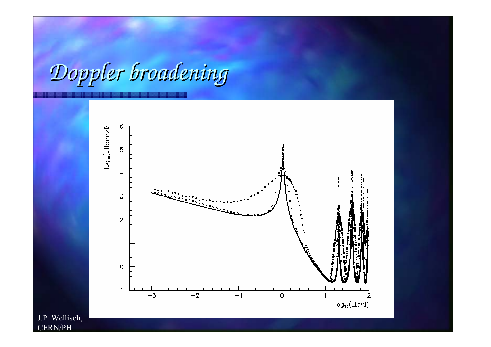*Doppler broadening*

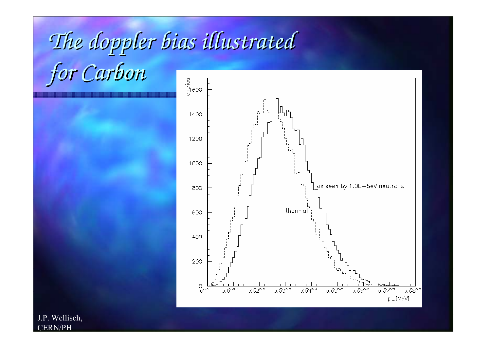## *The doppler bias illustrated for Carbon*

ូត<br>ក្ដាសល 1400  $\overline{1}$ 1200 1000 as seen by 1.0E-5eV neutrons 800 thermal<sup>3</sup> 600 400 200  $_{\rm U}^{\rm O}$  $U, \hat{U} \cap \hat{I}^{n-1}$  $0.02^{\circ}$   $^{\circ}$  $\mathrm{U} \mathrm{C} \mathrm{O} \mathrm{V} \mathrm{C} \mathrm{V}$  $0.03^{\circ}$  " U.04<sup>2.4</sup> U.05°F ംഗം^ ⊽.0്്  $p_{\text{nuc}}$ [MeV]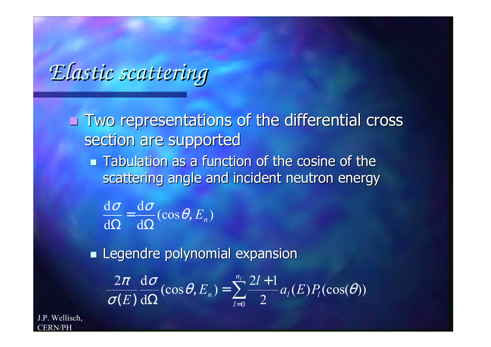#### Elastic scattering

Two representations of the differential cross section are supported

• Tabulation as a function of the cosine of the scattering angle and incident neutron energy

 $\frac{d\sigma}{d\Omega} = \frac{d\sigma}{d\Omega}(\cos\theta, E_n)$ 

**Expansion** Legendre polynomial expansion

$$
\frac{2\pi}{\sigma(E)}\frac{\mathrm{d}\sigma}{\mathrm{d}\Omega}(\cos\theta, E_n) = \sum_{l=0}^{n_l} \frac{2l+1}{2} a_l(E) P_l(\cos(\theta))
$$

Wellisch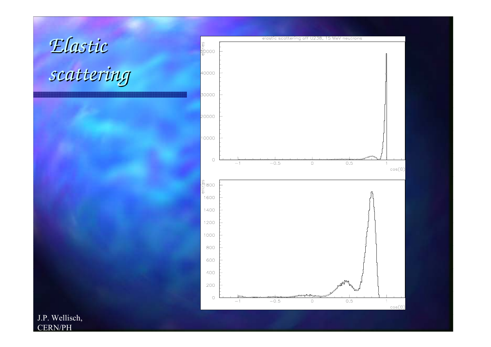## *Elastic scattering*

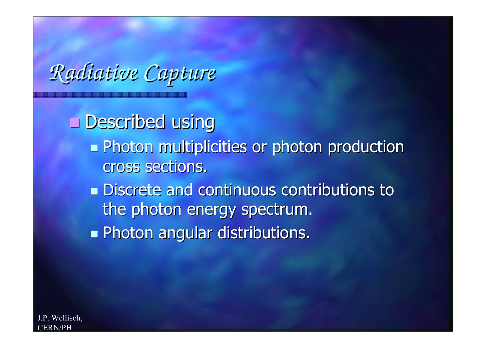#### Radiative Capture

**Described using Photon multiplicities or photon production** cross sections. **Discrete and continuous contributions to** the photon energy spectrum. **Photon angular distributions.**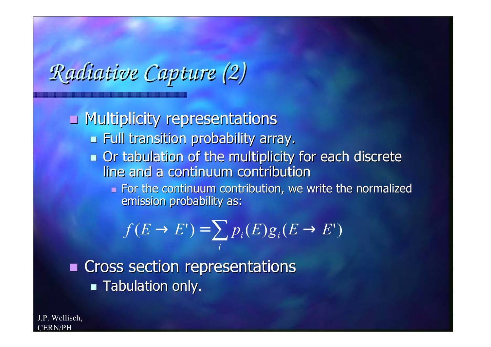## Radiative Capture (2)

**Nultiplicity representations** Full transition probability array. • Or tabulation of the multiplicity for each discrete line and a continuum contribution

> For the continuum contribution, we write the normalized emission probability as:

 $f(E \rightarrow E') = \sum p_i(E)g_i(E \rightarrow E')$ 

Cross section representations **Tabulation only.** 

P. Wellisch.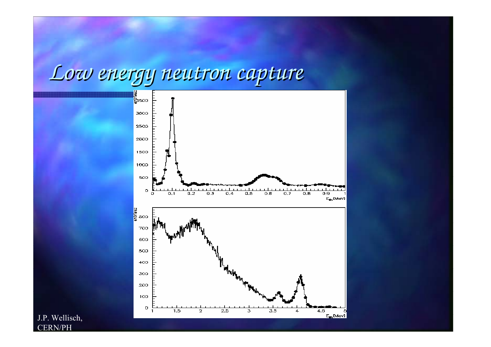#### *Low energy neutron capture*

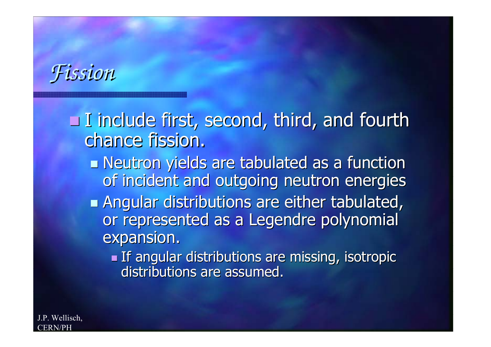Fission

I include first, second, third, and fourth chance fission. Neutron yields are tabulated as a function of incident and outgoing neutron energies Angular distributions are either tabulated, or represented as a Legendre polynomial expansion.

> **If angular distributions are missing, isotropic** distributions are assumed.

Wellisch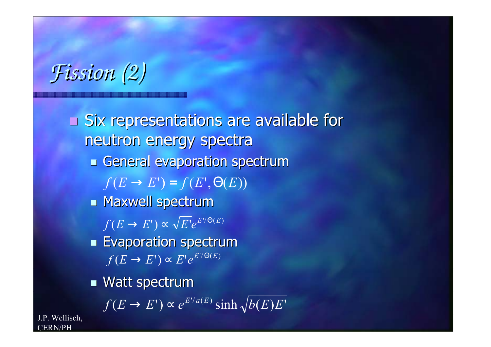*Fission (2)*

J.P. Wellisch, CERN/PH  $\blacksquare$  Six representations are available for neutron energy spectra **Example 18 Separation spectrum E** Maxwell spectrum **Evaporation spectrum**  $\blacksquare$  Watt spectrum  $f(E \to E') = f(E', \Theta(E))$  $f(E \to E^\prime) \!\propto \!\sqrt{E^\prime e^{E^\prime/\Theta(E)}}$  $f(E \to E^\prime) \approx E^\prime e^{E^\prime/\Theta(E)}$  $f(E \to E') \propto e^{E'/a(E)} \sinh \sqrt{b(E)E'}$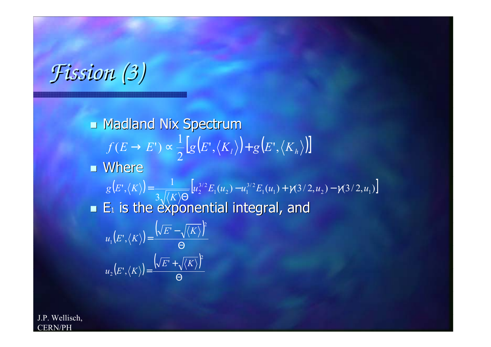*Fission (3)*

**Nadland Nix Spectrum Nhere**  $\blacksquare$  E<sub>1</sub> is the exponential integral, and  $(E \to E') \propto \frac{1}{2} \big[ g(E', \langle K \rangle) + g(E', \langle K \rangle) \big]$  $f(E \to E') \propto \frac{1}{2} [g(E', \langle K_l \rangle) + g(E', \langle K$  $(E',\langle K \rangle) = \frac{1}{3\sqrt{\langle K \rangle\Theta}} \Big[ u_2^{3/2} E_1(u_2) - u_1^{3/2} E_1(u_1) + \gamma(3/2,u_2) - \gamma(3/2,u_1) \Big]$  $E_1(u_2) - u_1^{3/2} E_1(u_1) + \gamma(3/2, u_2) - \gamma(3/2, u_1)$  $g(E',\langle K \rangle) = \frac{1}{3\sqrt{\langle K \rangle\Theta}}[u_2^{3/2}E_1(u_2) - u_1^{3/2}E_1(u_1) + \gamma(3/2,u_2) - \gamma$  $=\frac{1}{3\sqrt{\langle K\rangle\Theta}}$  $\sqrt{\langle E\ \rangle} = \frac{\left(\sqrt{E^{\prime}}-\sqrt{\langle K \rangle}\right)^2}{\Theta}$  $u_1(E',\langle K \rangle) = \frac{(\sqrt{E'}-\sqrt{\langle K \rangle})^2}{\sqrt{E'}}$  $\frac{1}{2} \big( E^{\centerdot}, \big\langle K \big\rangle \big) \! = \! \frac{ \big( \!\sqrt{E^{\centerdot}} + \! \sqrt{\big\langle K \big\rangle } \big)^{\! 2}}{\Theta}$  $u_2(E',\langle K \rangle) = \frac{(\sqrt{E'} + \sqrt{\langle K \rangle})^2}{\sqrt{E'}}$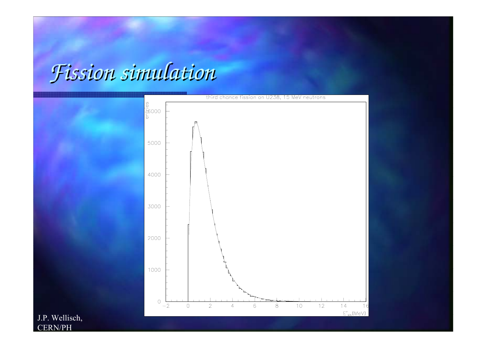## *Fission simulation*

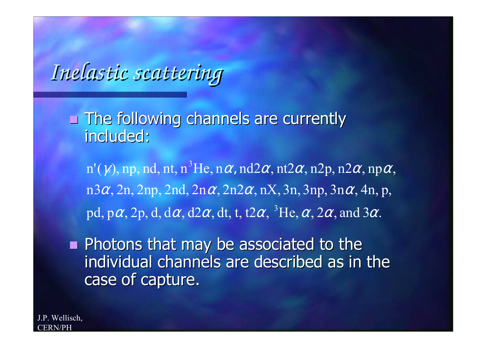### Inelastic scattering

**E** The following channels are currently included:

 $n'(\gamma)$ , np, nd, nt, n<sup>3</sup>He, n $\alpha$ , nd2 $\alpha$ , nt2 $\alpha$ , n2p, n2 $\alpha$ , np $\alpha$ ,  $n3\alpha$ , 2n, 2np, 2nd, 2n $\alpha$ , 2n2 $\alpha$ , nX, 3n, 3np, 3n $\alpha$ , 4n, p, pd, p $\alpha$ , 2p, d, d $\alpha$ , d2 $\alpha$ , dt, t, t2 $\alpha$ , <sup>3</sup>He,  $\alpha$ , 2 $\alpha$ , and 3 $\alpha$ .

Photons that may be associated to the individual channels are described as in the case of capture.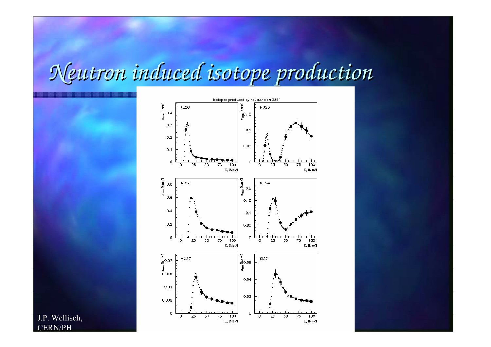## *Neutron induced isotope production*

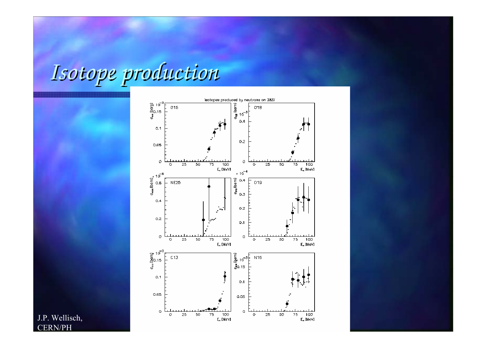# *Isotope production*